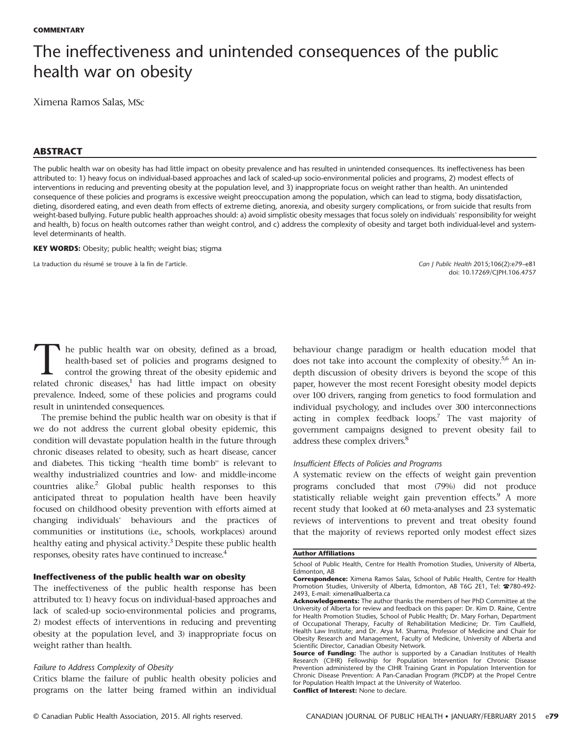# The ineffectiveness and unintended consequences of the public health war on obesity

Ximena Ramos Salas, MSc

## ABSTRACT

The public health war on obesity has had little impact on obesity prevalence and has resulted in unintended consequences. Its ineffectiveness has been attributed to: 1) heavy focus on individual-based approaches and lack of scaled-up socio-environmental policies and programs, 2) modest effects of interventions in reducing and preventing obesity at the population level, and 3) inappropriate focus on weight rather than health. An unintended consequence of these policies and programs is excessive weight preoccupation among the population, which can lead to stigma, body dissatisfaction, dieting, disordered eating, and even death from effects of extreme dieting, anorexia, and obesity surgery complications, or from suicide that results from weight-based bullying. Future public health approaches should: a) avoid simplistic obesity messages that focus solely on individuals' responsibility for weight and health, b) focus on health outcomes rather than weight control, and c) address the complexity of obesity and target both individual-level and systemlevel determinants of health.

KEY WORDS: Obesity; public health; weight bias; stigma

La traduction du résumé se trouve à la fin de l'article. Can J Public Health 2015;106(2):e79–e81

doi: [10.17269/CJPH.106.4757](http://dx.doi.org/10.17269/CJPH.106.4757)

The public health war on obesity, defined as a broad,<br>health-based set of policies and programs designed to<br>control the growing threat of the obesity epidemic and<br>related chronic diseases<sup>1</sup> has had little impact on obesit health-based set of policies and programs designed to control the growing threat of the obesity epidemic and related chronic diseases, $1$  has had little impact on obesity prevalence. Indeed, some of these policies and programs could result in unintended consequences.

The premise behind the public health war on obesity is that if we do not address the current global obesity epidemic, this condition will devastate population health in the future through chronic diseases related to obesity, such as heart disease, cancer and diabetes. This ticking "health time bomb" is relevant to wealthy industrialized countries and low- and middle-income countries alike.<sup>[2](#page-2-0)</sup> Global public health responses to this anticipated threat to population health have been heavily focused on childhood obesity prevention with efforts aimed at changing individuals' behaviours and the practices of communities or institutions (i.e., schools, workplaces) around healthy eating and physical activity.<sup>[3](#page-2-0)</sup> Despite these public health responses, obesity rates have continued to increase.[4](#page-2-0)

### Ineffectiveness of the public health war on obesity

The ineffectiveness of the public health response has been attributed to: 1) heavy focus on individual-based approaches and lack of scaled-up socio-environmental policies and programs, 2) modest effects of interventions in reducing and preventing obesity at the population level, and 3) inappropriate focus on weight rather than health.

## Failure to Address Complexity of Obesity

Critics blame the failure of public health obesity policies and programs on the latter being framed within an individual

behaviour change paradigm or health education model that does not take into account the complexity of obesity.<sup>[5,6](#page-2-0)</sup> An indepth discussion of obesity drivers is beyond the scope of this paper, however the most recent Foresight obesity model depicts over 100 drivers, ranging from genetics to food formulation and individual psychology, and includes over 300 interconnections acting in complex feedback loops.<sup>[7](#page-2-0)</sup> The vast majority of government campaigns designed to prevent obesity fail to address these complex drivers.<sup>[8](#page-2-0)</sup>

## Insufficient Effects of Policies and Programs

A systematic review on the effects of weight gain prevention programs concluded that most (79%) did not produce statistically reliable weight gain prevention effects.<sup>[9](#page-2-0)</sup> A more recent study that looked at 60 meta-analyses and 23 systematic reviews of interventions to prevent and treat obesity found that the majority of reviews reported only modest effect sizes

#### Author Affiliations

Conflict of Interest: None to declare.

School of Public Health, Centre for Health Promotion Studies, University of Alberta, Edmonton, AB

Correspondence: Ximena Ramos Salas, School of Public Health, Centre for Health Promotion Studies, University of Alberta, Edmonton, AB T6G 2E1, Tel: ☎780-492- 2493, E-mail: [ximena@ualberta.ca](mailto:ximena@ualberta.ca)

Acknowledgements: The author thanks the members of her PhD Committee at the University of Alberta for review and feedback on this paper: Dr. Kim D. Raine, Centre for Health Promotion Studies, School of Public Health; Dr. Mary Forhan, Department of Occupational Therapy, Faculty of Rehabilitation Medicine; Dr. Tim Caulfield, Health Law Institute; and Dr. Arya M. Sharma, Professor of Medicine and Chair for Obesity Research and Management, Faculty of Medicine, University of Alberta and Scientific Director, Canadian Obesity Network.

Source of Funding: The author is supported by a Canadian Institutes of Health Research (CIHR) Fellowship for Population Intervention for Chronic Disease Prevention administered by the CIHR Training Grant in Population Intervention for Chronic Disease Prevention: A Pan-Canadian Program (PICDP) at the Propel Centre for Population Health Impact at the University of Waterloo.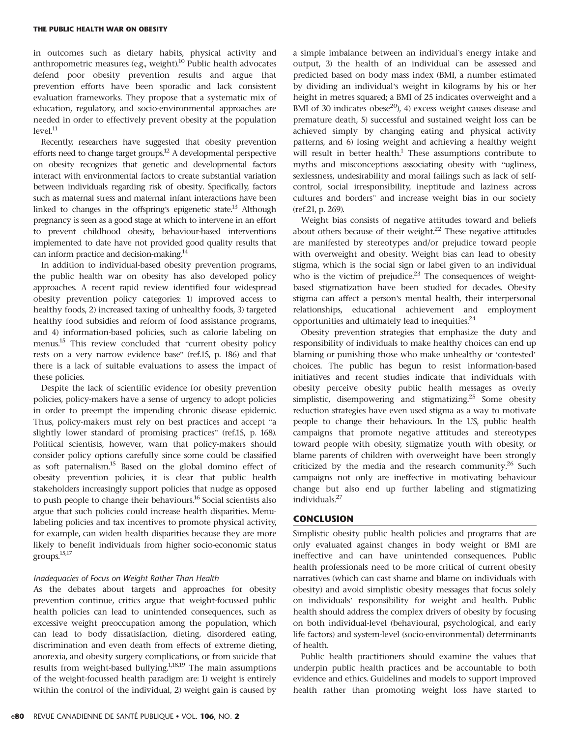in outcomes such as dietary habits, physical activity and anthropometric measures (e.g., weight).<sup>[10](#page-2-0)</sup> Public health advocates defend poor obesity prevention results and argue that prevention efforts have been sporadic and lack consistent evaluation frameworks. They propose that a systematic mix of education, regulatory, and socio-environmental approaches are needed in order to effectively prevent obesity at the population  $level<sup>11</sup>$  $level<sup>11</sup>$  $level<sup>11</sup>$ 

Recently, researchers have suggested that obesity prevention efforts need to change target groups[.12](#page-2-0) A developmental perspective on obesity recognizes that genetic and developmental factors interact with environmental factors to create substantial variation between individuals regarding risk of obesity. Specifically, factors such as maternal stress and maternal–infant interactions have been linked to changes in the offspring's epigenetic state.<sup>13</sup> Although pregnancy is seen as a good stage at which to intervene in an effort to prevent childhood obesity, behaviour-based interventions implemented to date have not provided good quality results that can inform practice and decision-making.<sup>[14](#page-2-0)</sup>

In addition to individual-based obesity prevention programs, the public health war on obesity has also developed policy approaches. A recent rapid review identified four widespread obesity prevention policy categories: 1) improved access to healthy foods, 2) increased taxing of unhealthy foods, 3) targeted healthy food subsidies and reform of food assistance programs, and 4) information-based policies, such as calorie labeling on menus.[15](#page-2-0) This review concluded that "current obesity policy rests on a very narrow evidence base" (ref[.15](#page-2-0), p. 186) and that there is a lack of suitable evaluations to assess the impact of these policies.

Despite the lack of scientific evidence for obesity prevention policies, policy-makers have a sense of urgency to adopt policies in order to preempt the impending chronic disease epidemic. Thus, policy-makers must rely on best practices and accept "a slightly lower standard of promising practices" (ref.[15,](#page-2-0) p. 168). Political scientists, however, warn that policy-makers should consider policy options carefully since some could be classified as soft paternalism.[15](#page-2-0) Based on the global domino effect of obesity prevention policies, it is clear that public health stakeholders increasingly support policies that nudge as opposed to push people to change their behaviours.<sup>[16](#page-2-0)</sup> Social scientists also argue that such policies could increase health disparities. Menulabeling policies and tax incentives to promote physical activity, for example, can widen health disparities because they are more likely to benefit individuals from higher socio-economic status groups. $15,17$  $15,17$ 

#### Inadequacies of Focus on Weight Rather Than Health

As the debates about targets and approaches for obesity prevention continue, critics argue that weight-focussed public health policies can lead to unintended consequences, such as excessive weight preoccupation among the population, which can lead to body dissatisfaction, dieting, disordered eating, discrimination and even death from effects of extreme dieting, anorexia, and obesity surgery complications, or from suicide that results from weight-based bullying.<sup>[1,18](#page-2-0),[19](#page-2-0)</sup> The main assumptions of the weight-focussed health paradigm are: 1) weight is entirely within the control of the individual, 2) weight gain is caused by

a simple imbalance between an individual's energy intake and output, 3) the health of an individual can be assessed and predicted based on body mass index (BMI, a number estimated by dividing an individual's weight in kilograms by his or her height in metres squared; a BMI of 25 indicates overweight and a BMI of 30 indicates obese $^{20}$ , 4) excess weight causes disease and premature death, 5) successful and sustained weight loss can be achieved simply by changing eating and physical activity patterns, and 6) losing weight and achieving a healthy weight will result in better health.<sup>[1](#page-2-0)</sup> These assumptions contribute to myths and misconceptions associating obesity with "ugliness, sexlessness, undesirability and moral failings such as lack of selfcontrol, social irresponsibility, ineptitude and laziness across cultures and borders" and increase weight bias in our society (ref.[21](#page-2-0), p. 269).

Weight bias consists of negative attitudes toward and beliefs about others because of their weight.<sup>[22](#page-2-0)</sup> These negative attitudes are manifested by stereotypes and/or prejudice toward people with overweight and obesity. Weight bias can lead to obesity stigma, which is the social sign or label given to an individual who is the victim of prejudice. $23$  The consequences of weightbased stigmatization have been studied for decades. Obesity stigma can affect a person's mental health, their interpersonal relationships, educational achievement and employment opportunities and ultimately lead to inequities. $24$ 

Obesity prevention strategies that emphasize the duty and responsibility of individuals to make healthy choices can end up blaming or punishing those who make unhealthy or 'contested' choices. The public has begun to resist information-based initiatives and recent studies indicate that individuals with obesity perceive obesity public health messages as overly simplistic, disempowering and stigmatizing.<sup>[25](#page-2-0)</sup> Some obesity reduction strategies have even used stigma as a way to motivate people to change their behaviours. In the US, public health campaigns that promote negative attitudes and stereotypes toward people with obesity, stigmatize youth with obesity, or blame parents of children with overweight have been strongly criticized by the media and the research community.<sup>[26](#page-2-0)</sup> Such campaigns not only are ineffective in motivating behaviour change but also end up further labeling and stigmatizing individuals.[27](#page-2-0)

## **CONCLUSION**

Simplistic obesity public health policies and programs that are only evaluated against changes in body weight or BMI are ineffective and can have unintended consequences. Public health professionals need to be more critical of current obesity narratives (which can cast shame and blame on individuals with obesity) and avoid simplistic obesity messages that focus solely on individuals' responsibility for weight and health. Public health should address the complex drivers of obesity by focusing on both individual-level (behavioural, psychological, and early life factors) and system-level (socio-environmental) determinants of health.

Public health practitioners should examine the values that underpin public health practices and be accountable to both evidence and ethics. Guidelines and models to support improved health rather than promoting weight loss have started to